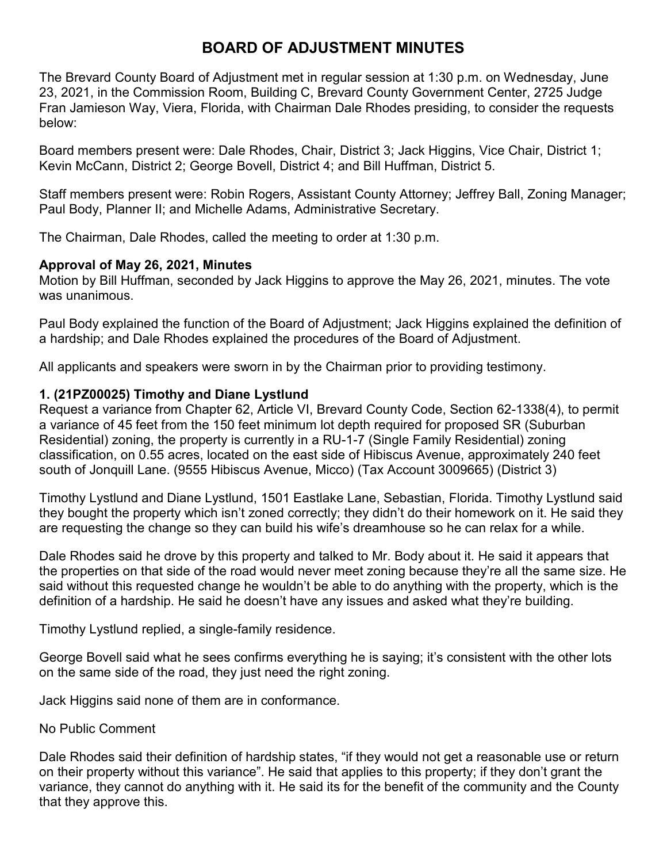# **BOARD OF ADJUSTMENT MINUTES**

The Brevard County Board of Adjustment met in regular session at 1:30 p.m. on Wednesday, June 23, 2021, in the Commission Room, Building C, Brevard County Government Center, 2725 Judge Fran Jamieson Way, Viera, Florida, with Chairman Dale Rhodes presiding, to consider the requests below:

Board members present were: Dale Rhodes, Chair, District 3; Jack Higgins, Vice Chair, District 1; Kevin McCann, District 2; George Bovell, District 4; and Bill Huffman, District 5.

Staff members present were: Robin Rogers, Assistant County Attorney; Jeffrey Ball, Zoning Manager; Paul Body, Planner II; and Michelle Adams, Administrative Secretary.

The Chairman, Dale Rhodes, called the meeting to order at 1:30 p.m.

#### **Approval of May 26, 2021, Minutes**

Motion by Bill Huffman, seconded by Jack Higgins to approve the May 26, 2021, minutes. The vote was unanimous.

Paul Body explained the function of the Board of Adjustment; Jack Higgins explained the definition of a hardship; and Dale Rhodes explained the procedures of the Board of Adjustment.

All applicants and speakers were sworn in by the Chairman prior to providing testimony.

## **1. (21PZ00025) Timothy and Diane Lystlund**

Request a variance from Chapter 62, Article VI, Brevard County Code, Section 62-1338(4), to permit a variance of 45 feet from the 150 feet minimum lot depth required for proposed SR (Suburban Residential) zoning, the property is currently in a RU-1-7 (Single Family Residential) zoning classification, on 0.55 acres, located on the east side of Hibiscus Avenue, approximately 240 feet south of Jonquill Lane. (9555 Hibiscus Avenue, Micco) (Tax Account 3009665) (District 3)

Timothy Lystlund and Diane Lystlund, 1501 Eastlake Lane, Sebastian, Florida. Timothy Lystlund said they bought the property which isn't zoned correctly; they didn't do their homework on it. He said they are requesting the change so they can build his wife's dreamhouse so he can relax for a while.

Dale Rhodes said he drove by this property and talked to Mr. Body about it. He said it appears that the properties on that side of the road would never meet zoning because they're all the same size. He said without this requested change he wouldn't be able to do anything with the property, which is the definition of a hardship. He said he doesn't have any issues and asked what they're building.

Timothy Lystlund replied, a single-family residence.

George Bovell said what he sees confirms everything he is saying; it's consistent with the other lots on the same side of the road, they just need the right zoning.

Jack Higgins said none of them are in conformance.

#### No Public Comment

Dale Rhodes said their definition of hardship states, "if they would not get a reasonable use or return on their property without this variance". He said that applies to this property; if they don't grant the variance, they cannot do anything with it. He said its for the benefit of the community and the County that they approve this.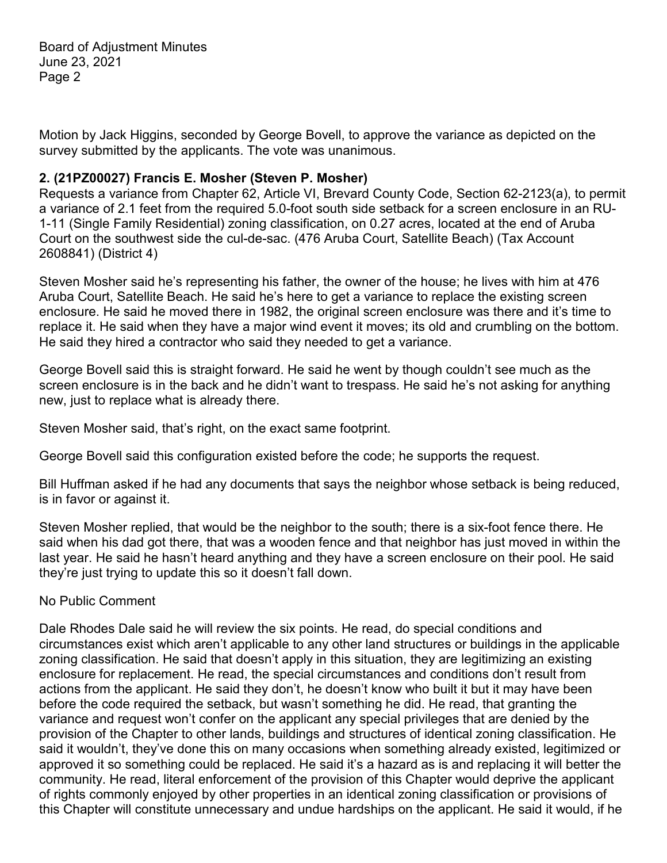Motion by Jack Higgins, seconded by George Bovell, to approve the variance as depicted on the survey submitted by the applicants. The vote was unanimous.

# **2. (21PZ00027) Francis E. Mosher (Steven P. Mosher)**

Requests a variance from Chapter 62, Article VI, Brevard County Code, Section 62-2123(a), to permit a variance of 2.1 feet from the required 5.0-foot south side setback for a screen enclosure in an RU-1-11 (Single Family Residential) zoning classification, on 0.27 acres, located at the end of Aruba Court on the southwest side the cul-de-sac. (476 Aruba Court, Satellite Beach) (Tax Account 2608841) (District 4)

Steven Mosher said he's representing his father, the owner of the house; he lives with him at 476 Aruba Court, Satellite Beach. He said he's here to get a variance to replace the existing screen enclosure. He said he moved there in 1982, the original screen enclosure was there and it's time to replace it. He said when they have a major wind event it moves; its old and crumbling on the bottom. He said they hired a contractor who said they needed to get a variance.

George Bovell said this is straight forward. He said he went by though couldn't see much as the screen enclosure is in the back and he didn't want to trespass. He said he's not asking for anything new, just to replace what is already there.

Steven Mosher said, that's right, on the exact same footprint.

George Bovell said this configuration existed before the code; he supports the request.

Bill Huffman asked if he had any documents that says the neighbor whose setback is being reduced, is in favor or against it.

Steven Mosher replied, that would be the neighbor to the south; there is a six-foot fence there. He said when his dad got there, that was a wooden fence and that neighbor has just moved in within the last year. He said he hasn't heard anything and they have a screen enclosure on their pool. He said they're just trying to update this so it doesn't fall down.

## No Public Comment

Dale Rhodes Dale said he will review the six points. He read, do special conditions and circumstances exist which aren't applicable to any other land structures or buildings in the applicable zoning classification. He said that doesn't apply in this situation, they are legitimizing an existing enclosure for replacement. He read, the special circumstances and conditions don't result from actions from the applicant. He said they don't, he doesn't know who built it but it may have been before the code required the setback, but wasn't something he did. He read, that granting the variance and request won't confer on the applicant any special privileges that are denied by the provision of the Chapter to other lands, buildings and structures of identical zoning classification. He said it wouldn't, they've done this on many occasions when something already existed, legitimized or approved it so something could be replaced. He said it's a hazard as is and replacing it will better the community. He read, literal enforcement of the provision of this Chapter would deprive the applicant of rights commonly enjoyed by other properties in an identical zoning classification or provisions of this Chapter will constitute unnecessary and undue hardships on the applicant. He said it would, if he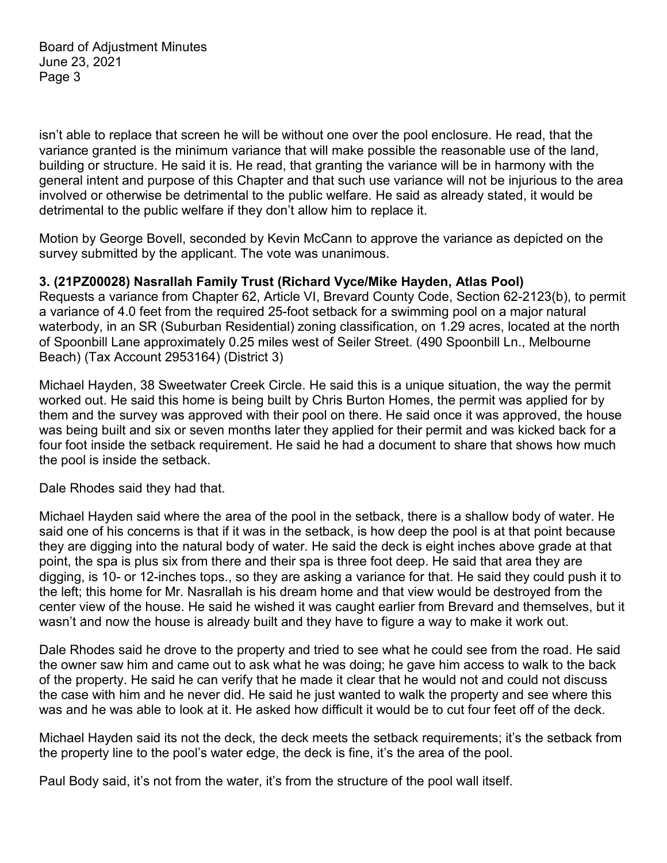isn't able to replace that screen he will be without one over the pool enclosure. He read, that the variance granted is the minimum variance that will make possible the reasonable use of the land, building or structure. He said it is. He read, that granting the variance will be in harmony with the general intent and purpose of this Chapter and that such use variance will not be injurious to the area involved or otherwise be detrimental to the public welfare. He said as already stated, it would be detrimental to the public welfare if they don't allow him to replace it.

Motion by George Bovell, seconded by Kevin McCann to approve the variance as depicted on the survey submitted by the applicant. The vote was unanimous.

#### **3. (21PZ00028) Nasrallah Family Trust (Richard Vyce/Mike Hayden, Atlas Pool)**

Requests a variance from Chapter 62, Article VI, Brevard County Code, Section 62-2123(b), to permit a variance of 4.0 feet from the required 25-foot setback for a swimming pool on a major natural waterbody, in an SR (Suburban Residential) zoning classification, on 1.29 acres, located at the north of Spoonbill Lane approximately 0.25 miles west of Seiler Street. (490 Spoonbill Ln., Melbourne Beach) (Tax Account 2953164) (District 3)

Michael Hayden, 38 Sweetwater Creek Circle. He said this is a unique situation, the way the permit worked out. He said this home is being built by Chris Burton Homes, the permit was applied for by them and the survey was approved with their pool on there. He said once it was approved, the house was being built and six or seven months later they applied for their permit and was kicked back for a four foot inside the setback requirement. He said he had a document to share that shows how much the pool is inside the setback.

Dale Rhodes said they had that.

Michael Hayden said where the area of the pool in the setback, there is a shallow body of water. He said one of his concerns is that if it was in the setback, is how deep the pool is at that point because they are digging into the natural body of water. He said the deck is eight inches above grade at that point, the spa is plus six from there and their spa is three foot deep. He said that area they are digging, is 10- or 12-inches tops., so they are asking a variance for that. He said they could push it to the left; this home for Mr. Nasrallah is his dream home and that view would be destroyed from the center view of the house. He said he wished it was caught earlier from Brevard and themselves, but it wasn't and now the house is already built and they have to figure a way to make it work out.

Dale Rhodes said he drove to the property and tried to see what he could see from the road. He said the owner saw him and came out to ask what he was doing; he gave him access to walk to the back of the property. He said he can verify that he made it clear that he would not and could not discuss the case with him and he never did. He said he just wanted to walk the property and see where this was and he was able to look at it. He asked how difficult it would be to cut four feet off of the deck.

Michael Hayden said its not the deck, the deck meets the setback requirements; it's the setback from the property line to the pool's water edge, the deck is fine, it's the area of the pool.

Paul Body said, it's not from the water, it's from the structure of the pool wall itself.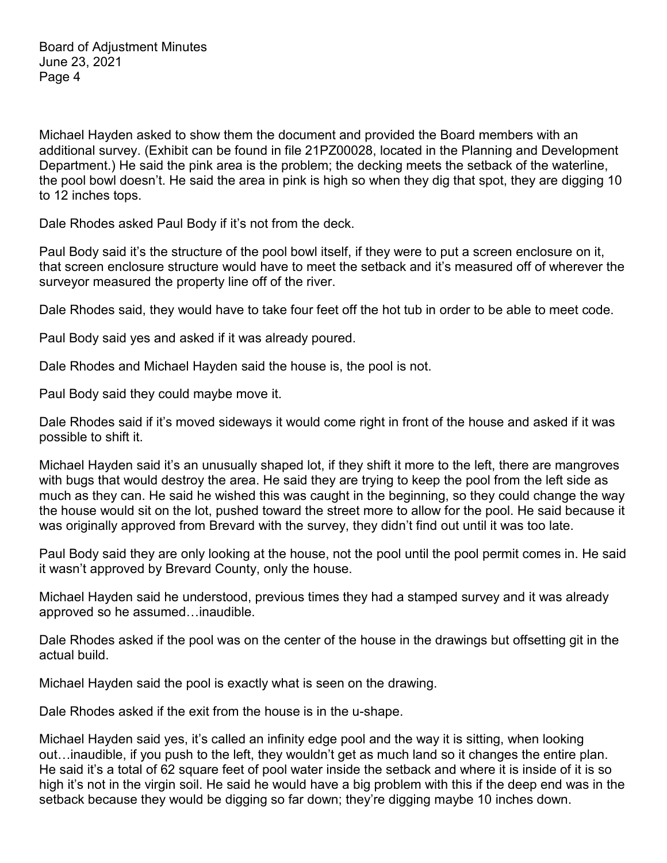Michael Hayden asked to show them the document and provided the Board members with an additional survey. (Exhibit can be found in file 21PZ00028, located in the Planning and Development Department.) He said the pink area is the problem; the decking meets the setback of the waterline, the pool bowl doesn't. He said the area in pink is high so when they dig that spot, they are digging 10 to 12 inches tops.

Dale Rhodes asked Paul Body if it's not from the deck.

Paul Body said it's the structure of the pool bowl itself, if they were to put a screen enclosure on it, that screen enclosure structure would have to meet the setback and it's measured off of wherever the surveyor measured the property line off of the river.

Dale Rhodes said, they would have to take four feet off the hot tub in order to be able to meet code.

Paul Body said yes and asked if it was already poured.

Dale Rhodes and Michael Hayden said the house is, the pool is not.

Paul Body said they could maybe move it.

Dale Rhodes said if it's moved sideways it would come right in front of the house and asked if it was possible to shift it.

Michael Hayden said it's an unusually shaped lot, if they shift it more to the left, there are mangroves with bugs that would destroy the area. He said they are trying to keep the pool from the left side as much as they can. He said he wished this was caught in the beginning, so they could change the way the house would sit on the lot, pushed toward the street more to allow for the pool. He said because it was originally approved from Brevard with the survey, they didn't find out until it was too late.

Paul Body said they are only looking at the house, not the pool until the pool permit comes in. He said it wasn't approved by Brevard County, only the house.

Michael Hayden said he understood, previous times they had a stamped survey and it was already approved so he assumed…inaudible.

Dale Rhodes asked if the pool was on the center of the house in the drawings but offsetting git in the actual build.

Michael Hayden said the pool is exactly what is seen on the drawing.

Dale Rhodes asked if the exit from the house is in the u-shape.

Michael Hayden said yes, it's called an infinity edge pool and the way it is sitting, when looking out…inaudible, if you push to the left, they wouldn't get as much land so it changes the entire plan. He said it's a total of 62 square feet of pool water inside the setback and where it is inside of it is so high it's not in the virgin soil. He said he would have a big problem with this if the deep end was in the setback because they would be digging so far down; they're digging maybe 10 inches down.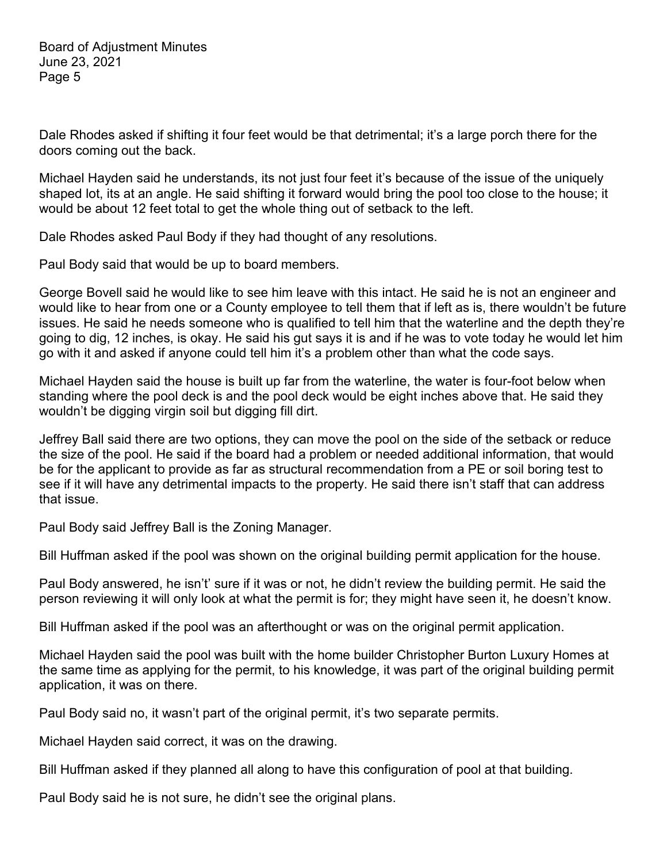Dale Rhodes asked if shifting it four feet would be that detrimental; it's a large porch there for the doors coming out the back.

Michael Hayden said he understands, its not just four feet it's because of the issue of the uniquely shaped lot, its at an angle. He said shifting it forward would bring the pool too close to the house; it would be about 12 feet total to get the whole thing out of setback to the left.

Dale Rhodes asked Paul Body if they had thought of any resolutions.

Paul Body said that would be up to board members.

George Bovell said he would like to see him leave with this intact. He said he is not an engineer and would like to hear from one or a County employee to tell them that if left as is, there wouldn't be future issues. He said he needs someone who is qualified to tell him that the waterline and the depth they're going to dig, 12 inches, is okay. He said his gut says it is and if he was to vote today he would let him go with it and asked if anyone could tell him it's a problem other than what the code says.

Michael Hayden said the house is built up far from the waterline, the water is four-foot below when standing where the pool deck is and the pool deck would be eight inches above that. He said they wouldn't be digging virgin soil but digging fill dirt.

Jeffrey Ball said there are two options, they can move the pool on the side of the setback or reduce the size of the pool. He said if the board had a problem or needed additional information, that would be for the applicant to provide as far as structural recommendation from a PE or soil boring test to see if it will have any detrimental impacts to the property. He said there isn't staff that can address that issue.

Paul Body said Jeffrey Ball is the Zoning Manager.

Bill Huffman asked if the pool was shown on the original building permit application for the house.

Paul Body answered, he isn't' sure if it was or not, he didn't review the building permit. He said the person reviewing it will only look at what the permit is for; they might have seen it, he doesn't know.

Bill Huffman asked if the pool was an afterthought or was on the original permit application.

Michael Hayden said the pool was built with the home builder Christopher Burton Luxury Homes at the same time as applying for the permit, to his knowledge, it was part of the original building permit application, it was on there.

Paul Body said no, it wasn't part of the original permit, it's two separate permits.

Michael Hayden said correct, it was on the drawing.

Bill Huffman asked if they planned all along to have this configuration of pool at that building.

Paul Body said he is not sure, he didn't see the original plans.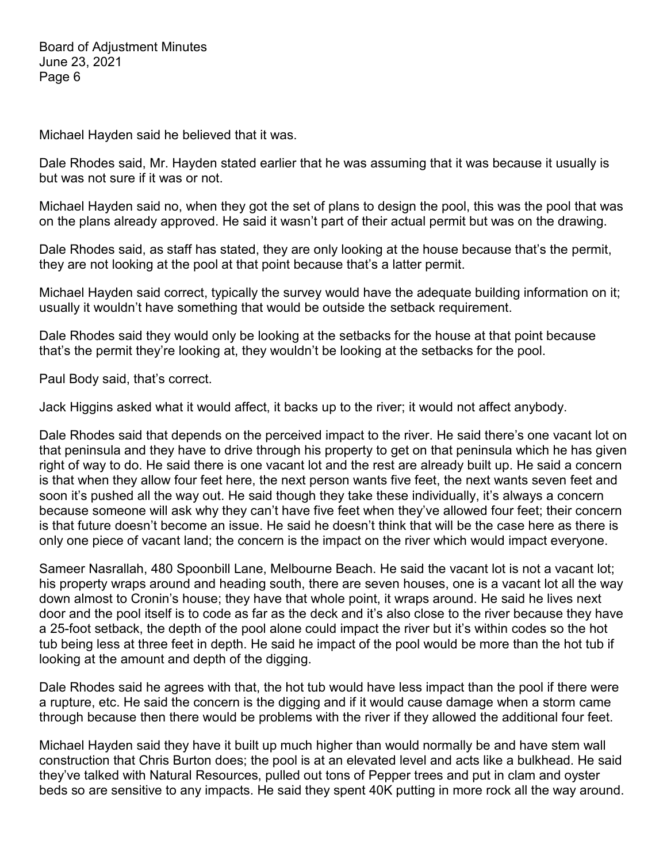Michael Hayden said he believed that it was.

Dale Rhodes said, Mr. Hayden stated earlier that he was assuming that it was because it usually is but was not sure if it was or not.

Michael Hayden said no, when they got the set of plans to design the pool, this was the pool that was on the plans already approved. He said it wasn't part of their actual permit but was on the drawing.

Dale Rhodes said, as staff has stated, they are only looking at the house because that's the permit, they are not looking at the pool at that point because that's a latter permit.

Michael Hayden said correct, typically the survey would have the adequate building information on it; usually it wouldn't have something that would be outside the setback requirement.

Dale Rhodes said they would only be looking at the setbacks for the house at that point because that's the permit they're looking at, they wouldn't be looking at the setbacks for the pool.

Paul Body said, that's correct.

Jack Higgins asked what it would affect, it backs up to the river; it would not affect anybody.

Dale Rhodes said that depends on the perceived impact to the river. He said there's one vacant lot on that peninsula and they have to drive through his property to get on that peninsula which he has given right of way to do. He said there is one vacant lot and the rest are already built up. He said a concern is that when they allow four feet here, the next person wants five feet, the next wants seven feet and soon it's pushed all the way out. He said though they take these individually, it's always a concern because someone will ask why they can't have five feet when they've allowed four feet; their concern is that future doesn't become an issue. He said he doesn't think that will be the case here as there is only one piece of vacant land; the concern is the impact on the river which would impact everyone.

Sameer Nasrallah, 480 Spoonbill Lane, Melbourne Beach. He said the vacant lot is not a vacant lot; his property wraps around and heading south, there are seven houses, one is a vacant lot all the way down almost to Cronin's house; they have that whole point, it wraps around. He said he lives next door and the pool itself is to code as far as the deck and it's also close to the river because they have a 25-foot setback, the depth of the pool alone could impact the river but it's within codes so the hot tub being less at three feet in depth. He said he impact of the pool would be more than the hot tub if looking at the amount and depth of the digging.

Dale Rhodes said he agrees with that, the hot tub would have less impact than the pool if there were a rupture, etc. He said the concern is the digging and if it would cause damage when a storm came through because then there would be problems with the river if they allowed the additional four feet.

Michael Hayden said they have it built up much higher than would normally be and have stem wall construction that Chris Burton does; the pool is at an elevated level and acts like a bulkhead. He said they've talked with Natural Resources, pulled out tons of Pepper trees and put in clam and oyster beds so are sensitive to any impacts. He said they spent 40K putting in more rock all the way around.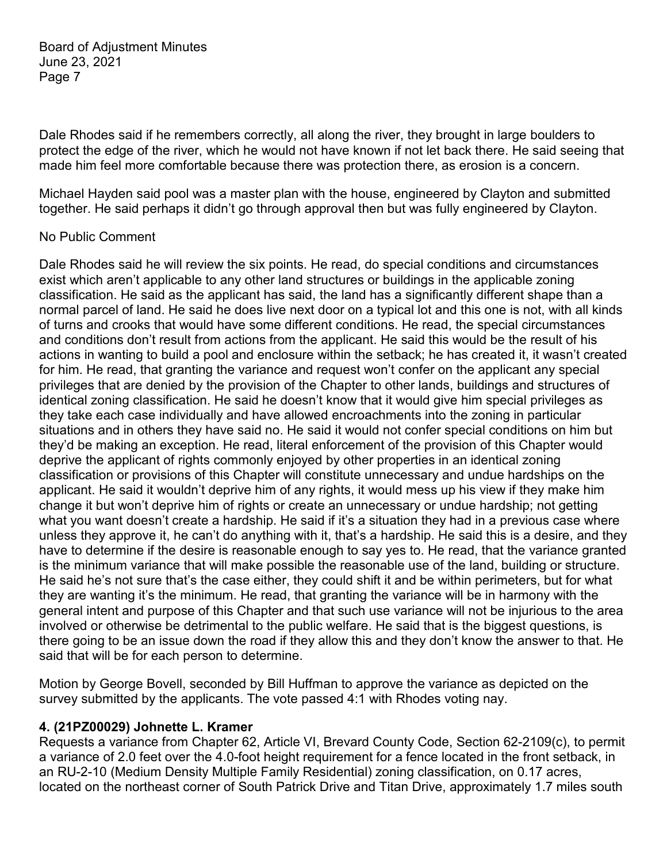Dale Rhodes said if he remembers correctly, all along the river, they brought in large boulders to protect the edge of the river, which he would not have known if not let back there. He said seeing that made him feel more comfortable because there was protection there, as erosion is a concern.

Michael Hayden said pool was a master plan with the house, engineered by Clayton and submitted together. He said perhaps it didn't go through approval then but was fully engineered by Clayton.

#### No Public Comment

Dale Rhodes said he will review the six points. He read, do special conditions and circumstances exist which aren't applicable to any other land structures or buildings in the applicable zoning classification. He said as the applicant has said, the land has a significantly different shape than a normal parcel of land. He said he does live next door on a typical lot and this one is not, with all kinds of turns and crooks that would have some different conditions. He read, the special circumstances and conditions don't result from actions from the applicant. He said this would be the result of his actions in wanting to build a pool and enclosure within the setback; he has created it, it wasn't created for him. He read, that granting the variance and request won't confer on the applicant any special privileges that are denied by the provision of the Chapter to other lands, buildings and structures of identical zoning classification. He said he doesn't know that it would give him special privileges as they take each case individually and have allowed encroachments into the zoning in particular situations and in others they have said no. He said it would not confer special conditions on him but they'd be making an exception. He read, literal enforcement of the provision of this Chapter would deprive the applicant of rights commonly enjoyed by other properties in an identical zoning classification or provisions of this Chapter will constitute unnecessary and undue hardships on the applicant. He said it wouldn't deprive him of any rights, it would mess up his view if they make him change it but won't deprive him of rights or create an unnecessary or undue hardship; not getting what you want doesn't create a hardship. He said if it's a situation they had in a previous case where unless they approve it, he can't do anything with it, that's a hardship. He said this is a desire, and they have to determine if the desire is reasonable enough to say yes to. He read, that the variance granted is the minimum variance that will make possible the reasonable use of the land, building or structure. He said he's not sure that's the case either, they could shift it and be within perimeters, but for what they are wanting it's the minimum. He read, that granting the variance will be in harmony with the general intent and purpose of this Chapter and that such use variance will not be injurious to the area involved or otherwise be detrimental to the public welfare. He said that is the biggest questions, is there going to be an issue down the road if they allow this and they don't know the answer to that. He said that will be for each person to determine.

Motion by George Bovell, seconded by Bill Huffman to approve the variance as depicted on the survey submitted by the applicants. The vote passed 4:1 with Rhodes voting nay.

## **4. (21PZ00029) Johnette L. Kramer**

Requests a variance from Chapter 62, Article VI, Brevard County Code, Section 62-2109(c), to permit a variance of 2.0 feet over the 4.0-foot height requirement for a fence located in the front setback, in an RU-2-10 (Medium Density Multiple Family Residential) zoning classification, on 0.17 acres, located on the northeast corner of South Patrick Drive and Titan Drive, approximately 1.7 miles south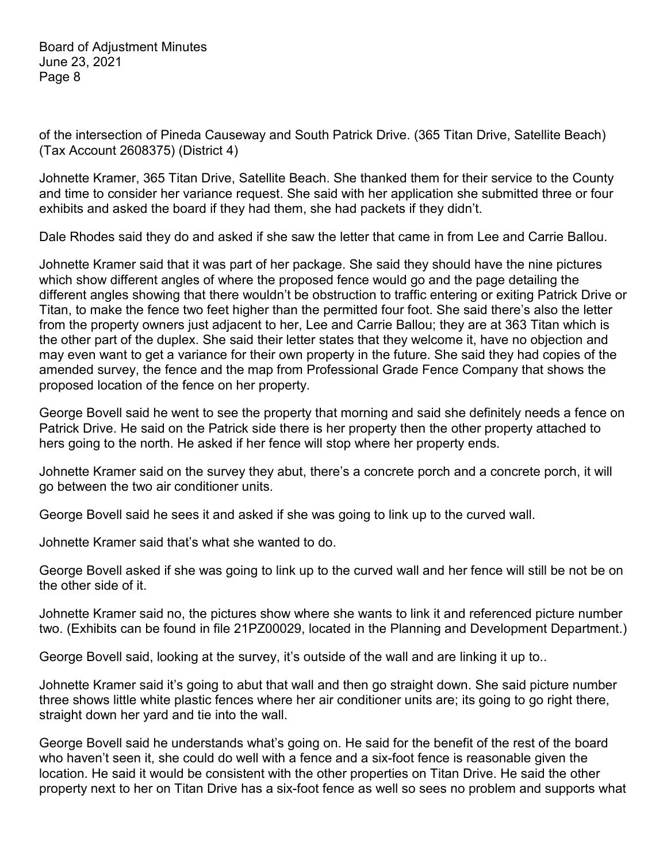of the intersection of Pineda Causeway and South Patrick Drive. (365 Titan Drive, Satellite Beach) (Tax Account 2608375) (District 4)

Johnette Kramer, 365 Titan Drive, Satellite Beach. She thanked them for their service to the County and time to consider her variance request. She said with her application she submitted three or four exhibits and asked the board if they had them, she had packets if they didn't.

Dale Rhodes said they do and asked if she saw the letter that came in from Lee and Carrie Ballou.

Johnette Kramer said that it was part of her package. She said they should have the nine pictures which show different angles of where the proposed fence would go and the page detailing the different angles showing that there wouldn't be obstruction to traffic entering or exiting Patrick Drive or Titan, to make the fence two feet higher than the permitted four foot. She said there's also the letter from the property owners just adjacent to her, Lee and Carrie Ballou; they are at 363 Titan which is the other part of the duplex. She said their letter states that they welcome it, have no objection and may even want to get a variance for their own property in the future. She said they had copies of the amended survey, the fence and the map from Professional Grade Fence Company that shows the proposed location of the fence on her property.

George Bovell said he went to see the property that morning and said she definitely needs a fence on Patrick Drive. He said on the Patrick side there is her property then the other property attached to hers going to the north. He asked if her fence will stop where her property ends.

Johnette Kramer said on the survey they abut, there's a concrete porch and a concrete porch, it will go between the two air conditioner units.

George Bovell said he sees it and asked if she was going to link up to the curved wall.

Johnette Kramer said that's what she wanted to do.

George Bovell asked if she was going to link up to the curved wall and her fence will still be not be on the other side of it.

Johnette Kramer said no, the pictures show where she wants to link it and referenced picture number two. (Exhibits can be found in file 21PZ00029, located in the Planning and Development Department.)

George Bovell said, looking at the survey, it's outside of the wall and are linking it up to..

Johnette Kramer said it's going to abut that wall and then go straight down. She said picture number three shows little white plastic fences where her air conditioner units are; its going to go right there, straight down her yard and tie into the wall.

George Bovell said he understands what's going on. He said for the benefit of the rest of the board who haven't seen it, she could do well with a fence and a six-foot fence is reasonable given the location. He said it would be consistent with the other properties on Titan Drive. He said the other property next to her on Titan Drive has a six-foot fence as well so sees no problem and supports what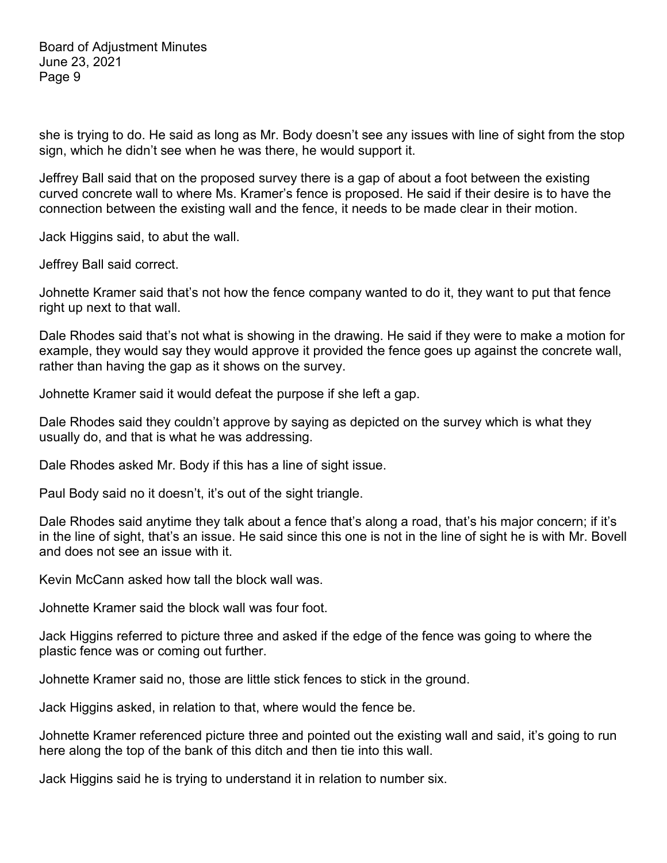she is trying to do. He said as long as Mr. Body doesn't see any issues with line of sight from the stop sign, which he didn't see when he was there, he would support it.

Jeffrey Ball said that on the proposed survey there is a gap of about a foot between the existing curved concrete wall to where Ms. Kramer's fence is proposed. He said if their desire is to have the connection between the existing wall and the fence, it needs to be made clear in their motion.

Jack Higgins said, to abut the wall.

Jeffrey Ball said correct.

Johnette Kramer said that's not how the fence company wanted to do it, they want to put that fence right up next to that wall.

Dale Rhodes said that's not what is showing in the drawing. He said if they were to make a motion for example, they would say they would approve it provided the fence goes up against the concrete wall, rather than having the gap as it shows on the survey.

Johnette Kramer said it would defeat the purpose if she left a gap.

Dale Rhodes said they couldn't approve by saying as depicted on the survey which is what they usually do, and that is what he was addressing.

Dale Rhodes asked Mr. Body if this has a line of sight issue.

Paul Body said no it doesn't, it's out of the sight triangle.

Dale Rhodes said anytime they talk about a fence that's along a road, that's his major concern; if it's in the line of sight, that's an issue. He said since this one is not in the line of sight he is with Mr. Bovell and does not see an issue with it.

Kevin McCann asked how tall the block wall was.

Johnette Kramer said the block wall was four foot.

Jack Higgins referred to picture three and asked if the edge of the fence was going to where the plastic fence was or coming out further.

Johnette Kramer said no, those are little stick fences to stick in the ground.

Jack Higgins asked, in relation to that, where would the fence be.

Johnette Kramer referenced picture three and pointed out the existing wall and said, it's going to run here along the top of the bank of this ditch and then tie into this wall.

Jack Higgins said he is trying to understand it in relation to number six.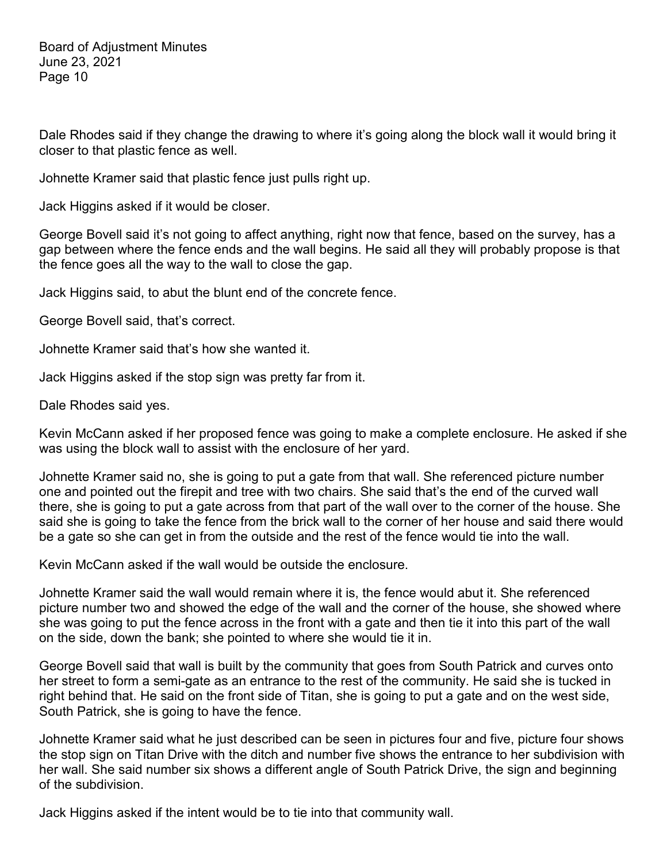Dale Rhodes said if they change the drawing to where it's going along the block wall it would bring it closer to that plastic fence as well.

Johnette Kramer said that plastic fence just pulls right up.

Jack Higgins asked if it would be closer.

George Bovell said it's not going to affect anything, right now that fence, based on the survey, has a gap between where the fence ends and the wall begins. He said all they will probably propose is that the fence goes all the way to the wall to close the gap.

Jack Higgins said, to abut the blunt end of the concrete fence.

George Bovell said, that's correct.

Johnette Kramer said that's how she wanted it.

Jack Higgins asked if the stop sign was pretty far from it.

Dale Rhodes said yes.

Kevin McCann asked if her proposed fence was going to make a complete enclosure. He asked if she was using the block wall to assist with the enclosure of her yard.

Johnette Kramer said no, she is going to put a gate from that wall. She referenced picture number one and pointed out the firepit and tree with two chairs. She said that's the end of the curved wall there, she is going to put a gate across from that part of the wall over to the corner of the house. She said she is going to take the fence from the brick wall to the corner of her house and said there would be a gate so she can get in from the outside and the rest of the fence would tie into the wall.

Kevin McCann asked if the wall would be outside the enclosure.

Johnette Kramer said the wall would remain where it is, the fence would abut it. She referenced picture number two and showed the edge of the wall and the corner of the house, she showed where she was going to put the fence across in the front with a gate and then tie it into this part of the wall on the side, down the bank; she pointed to where she would tie it in.

George Bovell said that wall is built by the community that goes from South Patrick and curves onto her street to form a semi-gate as an entrance to the rest of the community. He said she is tucked in right behind that. He said on the front side of Titan, she is going to put a gate and on the west side, South Patrick, she is going to have the fence.

Johnette Kramer said what he just described can be seen in pictures four and five, picture four shows the stop sign on Titan Drive with the ditch and number five shows the entrance to her subdivision with her wall. She said number six shows a different angle of South Patrick Drive, the sign and beginning of the subdivision.

Jack Higgins asked if the intent would be to tie into that community wall.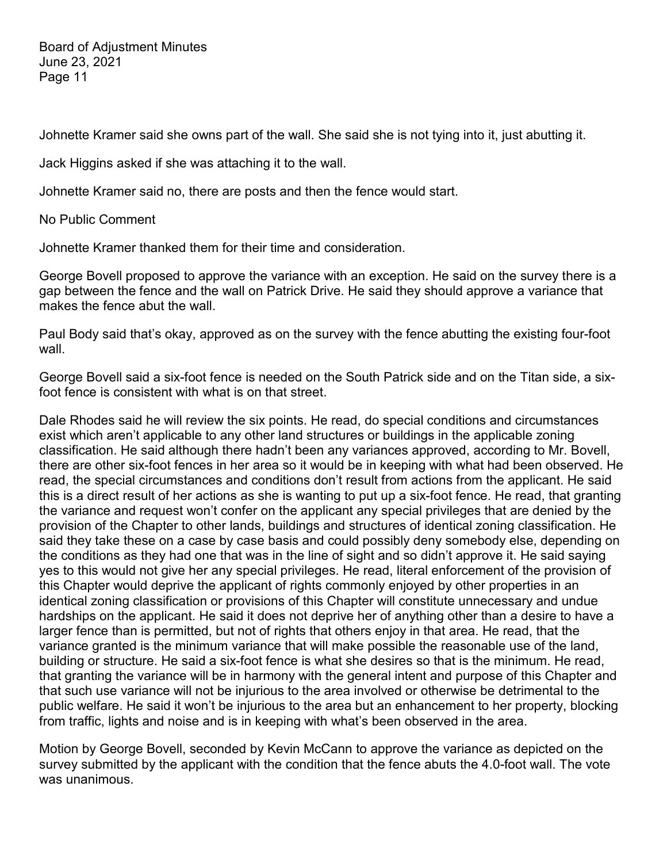Johnette Kramer said she owns part of the wall. She said she is not tying into it, just abutting it.

Jack Higgins asked if she was attaching it to the wall.

Johnette Kramer said no, there are posts and then the fence would start.

No Public Comment

Johnette Kramer thanked them for their time and consideration.

George Bovell proposed to approve the variance with an exception. He said on the survey there is a gap between the fence and the wall on Patrick Drive. He said they should approve a variance that makes the fence abut the wall.

Paul Body said that's okay, approved as on the survey with the fence abutting the existing four-foot wall.

George Bovell said a six-foot fence is needed on the South Patrick side and on the Titan side, a sixfoot fence is consistent with what is on that street.

Dale Rhodes said he will review the six points. He read, do special conditions and circumstances exist which aren't applicable to any other land structures or buildings in the applicable zoning classification. He said although there hadn't been any variances approved, according to Mr. Bovell, there are other six-foot fences in her area so it would be in keeping with what had been observed. He read, the special circumstances and conditions don't result from actions from the applicant. He said this is a direct result of her actions as she is wanting to put up a six-foot fence. He read, that granting the variance and request won't confer on the applicant any special privileges that are denied by the provision of the Chapter to other lands, buildings and structures of identical zoning classification. He said they take these on a case by case basis and could possibly deny somebody else, depending on the conditions as they had one that was in the line of sight and so didn't approve it. He said saying yes to this would not give her any special privileges. He read, literal enforcement of the provision of this Chapter would deprive the applicant of rights commonly enjoyed by other properties in an identical zoning classification or provisions of this Chapter will constitute unnecessary and undue hardships on the applicant. He said it does not deprive her of anything other than a desire to have a larger fence than is permitted, but not of rights that others enjoy in that area. He read, that the variance granted is the minimum variance that will make possible the reasonable use of the land, building or structure. He said a six-foot fence is what she desires so that is the minimum. He read, that granting the variance will be in harmony with the general intent and purpose of this Chapter and that such use variance will not be injurious to the area involved or otherwise be detrimental to the public welfare. He said it won't be injurious to the area but an enhancement to her property, blocking from traffic, lights and noise and is in keeping with what's been observed in the area.

Motion by George Bovell, seconded by Kevin McCann to approve the variance as depicted on the survey submitted by the applicant with the condition that the fence abuts the 4.0-foot wall. The vote was unanimous.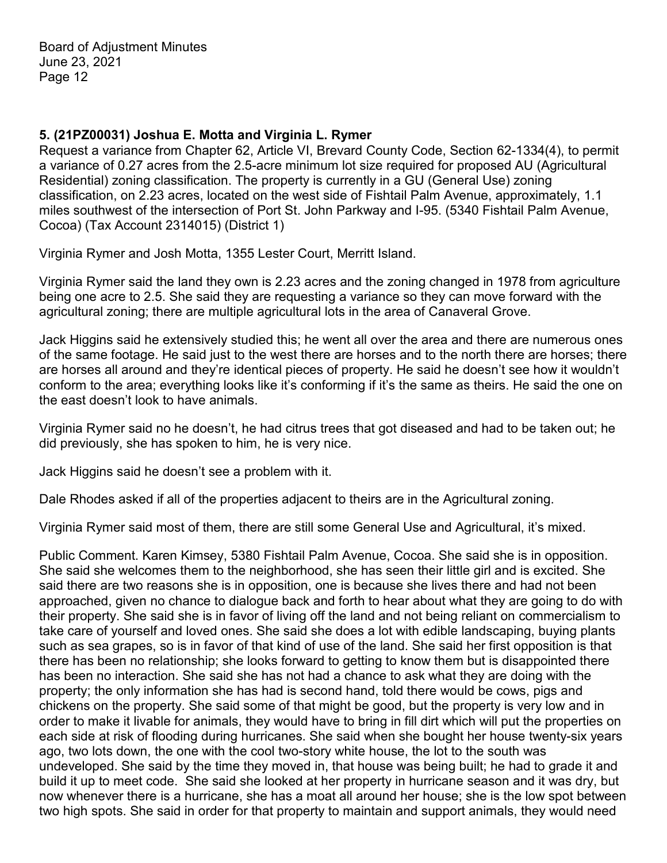## **5. (21PZ00031) Joshua E. Motta and Virginia L. Rymer**

Request a variance from Chapter 62, Article VI, Brevard County Code, Section 62-1334(4), to permit a variance of 0.27 acres from the 2.5-acre minimum lot size required for proposed AU (Agricultural Residential) zoning classification. The property is currently in a GU (General Use) zoning classification, on 2.23 acres, located on the west side of Fishtail Palm Avenue, approximately, 1.1 miles southwest of the intersection of Port St. John Parkway and I-95. (5340 Fishtail Palm Avenue, Cocoa) (Tax Account 2314015) (District 1)

Virginia Rymer and Josh Motta, 1355 Lester Court, Merritt Island.

Virginia Rymer said the land they own is 2.23 acres and the zoning changed in 1978 from agriculture being one acre to 2.5. She said they are requesting a variance so they can move forward with the agricultural zoning; there are multiple agricultural lots in the area of Canaveral Grove.

Jack Higgins said he extensively studied this; he went all over the area and there are numerous ones of the same footage. He said just to the west there are horses and to the north there are horses; there are horses all around and they're identical pieces of property. He said he doesn't see how it wouldn't conform to the area; everything looks like it's conforming if it's the same as theirs. He said the one on the east doesn't look to have animals.

Virginia Rymer said no he doesn't, he had citrus trees that got diseased and had to be taken out; he did previously, she has spoken to him, he is very nice.

Jack Higgins said he doesn't see a problem with it.

Dale Rhodes asked if all of the properties adjacent to theirs are in the Agricultural zoning.

Virginia Rymer said most of them, there are still some General Use and Agricultural, it's mixed.

Public Comment. Karen Kimsey, 5380 Fishtail Palm Avenue, Cocoa. She said she is in opposition. She said she welcomes them to the neighborhood, she has seen their little girl and is excited. She said there are two reasons she is in opposition, one is because she lives there and had not been approached, given no chance to dialogue back and forth to hear about what they are going to do with their property. She said she is in favor of living off the land and not being reliant on commercialism to take care of yourself and loved ones. She said she does a lot with edible landscaping, buying plants such as sea grapes, so is in favor of that kind of use of the land. She said her first opposition is that there has been no relationship; she looks forward to getting to know them but is disappointed there has been no interaction. She said she has not had a chance to ask what they are doing with the property; the only information she has had is second hand, told there would be cows, pigs and chickens on the property. She said some of that might be good, but the property is very low and in order to make it livable for animals, they would have to bring in fill dirt which will put the properties on each side at risk of flooding during hurricanes. She said when she bought her house twenty-six years ago, two lots down, the one with the cool two-story white house, the lot to the south was undeveloped. She said by the time they moved in, that house was being built; he had to grade it and build it up to meet code. She said she looked at her property in hurricane season and it was dry, but now whenever there is a hurricane, she has a moat all around her house; she is the low spot between two high spots. She said in order for that property to maintain and support animals, they would need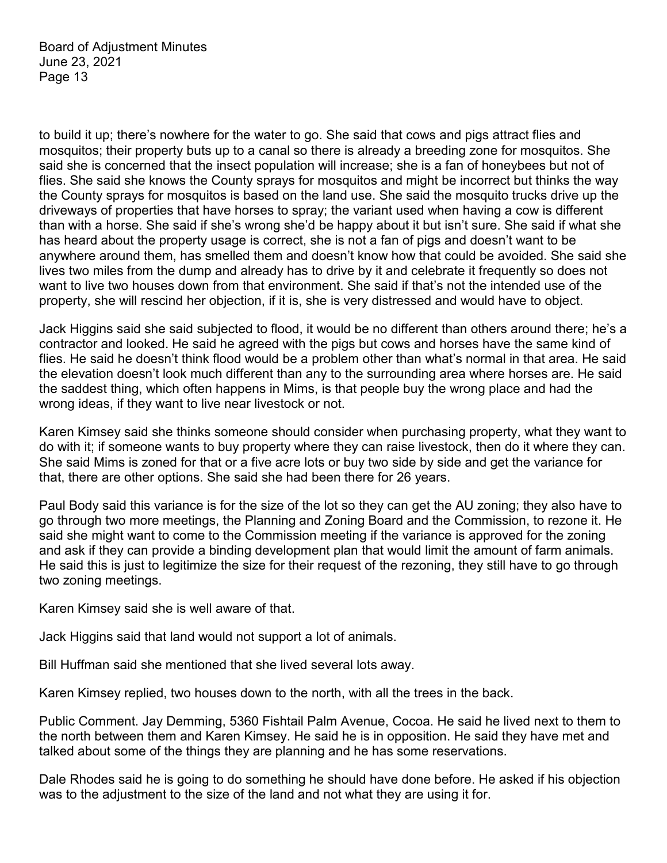to build it up; there's nowhere for the water to go. She said that cows and pigs attract flies and mosquitos; their property buts up to a canal so there is already a breeding zone for mosquitos. She said she is concerned that the insect population will increase; she is a fan of honeybees but not of flies. She said she knows the County sprays for mosquitos and might be incorrect but thinks the way the County sprays for mosquitos is based on the land use. She said the mosquito trucks drive up the driveways of properties that have horses to spray; the variant used when having a cow is different than with a horse. She said if she's wrong she'd be happy about it but isn't sure. She said if what she has heard about the property usage is correct, she is not a fan of pigs and doesn't want to be anywhere around them, has smelled them and doesn't know how that could be avoided. She said she lives two miles from the dump and already has to drive by it and celebrate it frequently so does not want to live two houses down from that environment. She said if that's not the intended use of the property, she will rescind her objection, if it is, she is very distressed and would have to object.

Jack Higgins said she said subjected to flood, it would be no different than others around there; he's a contractor and looked. He said he agreed with the pigs but cows and horses have the same kind of flies. He said he doesn't think flood would be a problem other than what's normal in that area. He said the elevation doesn't look much different than any to the surrounding area where horses are. He said the saddest thing, which often happens in Mims, is that people buy the wrong place and had the wrong ideas, if they want to live near livestock or not.

Karen Kimsey said she thinks someone should consider when purchasing property, what they want to do with it; if someone wants to buy property where they can raise livestock, then do it where they can. She said Mims is zoned for that or a five acre lots or buy two side by side and get the variance for that, there are other options. She said she had been there for 26 years.

Paul Body said this variance is for the size of the lot so they can get the AU zoning; they also have to go through two more meetings, the Planning and Zoning Board and the Commission, to rezone it. He said she might want to come to the Commission meeting if the variance is approved for the zoning and ask if they can provide a binding development plan that would limit the amount of farm animals. He said this is just to legitimize the size for their request of the rezoning, they still have to go through two zoning meetings.

Karen Kimsey said she is well aware of that.

Jack Higgins said that land would not support a lot of animals.

Bill Huffman said she mentioned that she lived several lots away.

Karen Kimsey replied, two houses down to the north, with all the trees in the back.

Public Comment. Jay Demming, 5360 Fishtail Palm Avenue, Cocoa. He said he lived next to them to the north between them and Karen Kimsey. He said he is in opposition. He said they have met and talked about some of the things they are planning and he has some reservations.

Dale Rhodes said he is going to do something he should have done before. He asked if his objection was to the adjustment to the size of the land and not what they are using it for.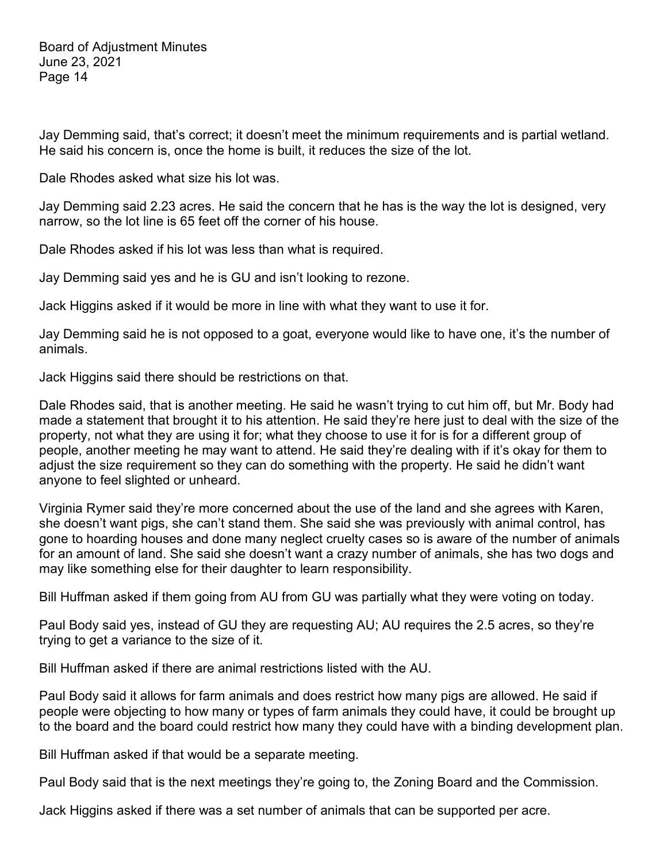Jay Demming said, that's correct; it doesn't meet the minimum requirements and is partial wetland. He said his concern is, once the home is built, it reduces the size of the lot.

Dale Rhodes asked what size his lot was.

Jay Demming said 2.23 acres. He said the concern that he has is the way the lot is designed, very narrow, so the lot line is 65 feet off the corner of his house.

Dale Rhodes asked if his lot was less than what is required.

Jay Demming said yes and he is GU and isn't looking to rezone.

Jack Higgins asked if it would be more in line with what they want to use it for.

Jay Demming said he is not opposed to a goat, everyone would like to have one, it's the number of animals.

Jack Higgins said there should be restrictions on that.

Dale Rhodes said, that is another meeting. He said he wasn't trying to cut him off, but Mr. Body had made a statement that brought it to his attention. He said they're here just to deal with the size of the property, not what they are using it for; what they choose to use it for is for a different group of people, another meeting he may want to attend. He said they're dealing with if it's okay for them to adjust the size requirement so they can do something with the property. He said he didn't want anyone to feel slighted or unheard.

Virginia Rymer said they're more concerned about the use of the land and she agrees with Karen, she doesn't want pigs, she can't stand them. She said she was previously with animal control, has gone to hoarding houses and done many neglect cruelty cases so is aware of the number of animals for an amount of land. She said she doesn't want a crazy number of animals, she has two dogs and may like something else for their daughter to learn responsibility.

Bill Huffman asked if them going from AU from GU was partially what they were voting on today.

Paul Body said yes, instead of GU they are requesting AU; AU requires the 2.5 acres, so they're trying to get a variance to the size of it.

Bill Huffman asked if there are animal restrictions listed with the AU.

Paul Body said it allows for farm animals and does restrict how many pigs are allowed. He said if people were objecting to how many or types of farm animals they could have, it could be brought up to the board and the board could restrict how many they could have with a binding development plan.

Bill Huffman asked if that would be a separate meeting.

Paul Body said that is the next meetings they're going to, the Zoning Board and the Commission.

Jack Higgins asked if there was a set number of animals that can be supported per acre.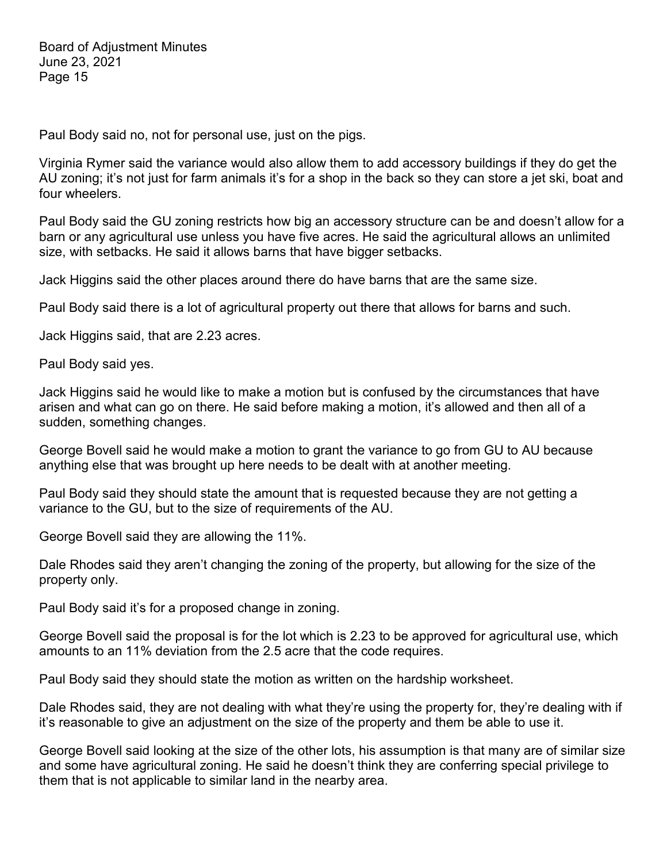Paul Body said no, not for personal use, just on the pigs.

Virginia Rymer said the variance would also allow them to add accessory buildings if they do get the AU zoning; it's not just for farm animals it's for a shop in the back so they can store a jet ski, boat and four wheelers.

Paul Body said the GU zoning restricts how big an accessory structure can be and doesn't allow for a barn or any agricultural use unless you have five acres. He said the agricultural allows an unlimited size, with setbacks. He said it allows barns that have bigger setbacks.

Jack Higgins said the other places around there do have barns that are the same size.

Paul Body said there is a lot of agricultural property out there that allows for barns and such.

Jack Higgins said, that are 2.23 acres.

Paul Body said yes.

Jack Higgins said he would like to make a motion but is confused by the circumstances that have arisen and what can go on there. He said before making a motion, it's allowed and then all of a sudden, something changes.

George Bovell said he would make a motion to grant the variance to go from GU to AU because anything else that was brought up here needs to be dealt with at another meeting.

Paul Body said they should state the amount that is requested because they are not getting a variance to the GU, but to the size of requirements of the AU.

George Bovell said they are allowing the 11%.

Dale Rhodes said they aren't changing the zoning of the property, but allowing for the size of the property only.

Paul Body said it's for a proposed change in zoning.

George Bovell said the proposal is for the lot which is 2.23 to be approved for agricultural use, which amounts to an 11% deviation from the 2.5 acre that the code requires.

Paul Body said they should state the motion as written on the hardship worksheet.

Dale Rhodes said, they are not dealing with what they're using the property for, they're dealing with if it's reasonable to give an adjustment on the size of the property and them be able to use it.

George Bovell said looking at the size of the other lots, his assumption is that many are of similar size and some have agricultural zoning. He said he doesn't think they are conferring special privilege to them that is not applicable to similar land in the nearby area.